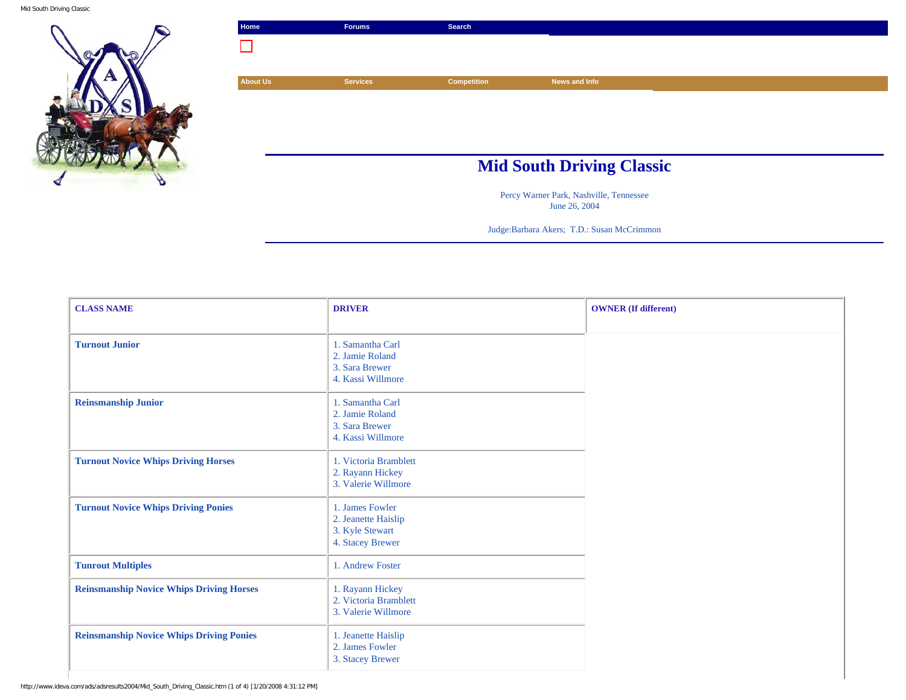Mid South Driving Classic





Percy Warner Park, Nashville, Tennessee June 26, 2004

Judge:Barbara Akers; T.D.: Susan McCrimmon

| <b>CLASS NAME</b>                               | <b>DRIVER</b>                                                                 | <b>OWNER</b> (If different) |
|-------------------------------------------------|-------------------------------------------------------------------------------|-----------------------------|
| <b>Turnout Junior</b>                           | 1. Samantha Carl<br>2. Jamie Roland<br>3. Sara Brewer<br>4. Kassi Willmore    |                             |
| <b>Reinsmanship Junior</b>                      | 1. Samantha Carl<br>2. Jamie Roland<br>3. Sara Brewer<br>4. Kassi Willmore    |                             |
| <b>Turnout Novice Whips Driving Horses</b>      | 1. Victoria Bramblett<br>2. Rayann Hickey<br>3. Valerie Willmore              |                             |
| <b>Turnout Novice Whips Driving Ponies</b>      | 1. James Fowler<br>2. Jeanette Haislip<br>3. Kyle Stewart<br>4. Stacey Brewer |                             |
| <b>Tunrout Multiples</b>                        | 1. Andrew Foster                                                              |                             |
| <b>Reinsmanship Novice Whips Driving Horses</b> | 1. Rayann Hickey<br>2. Victoria Bramblett<br>3. Valerie Willmore              |                             |
| <b>Reinsmanship Novice Whips Driving Ponies</b> | 1. Jeanette Haislip<br>2. James Fowler<br>3. Stacey Brewer                    |                             |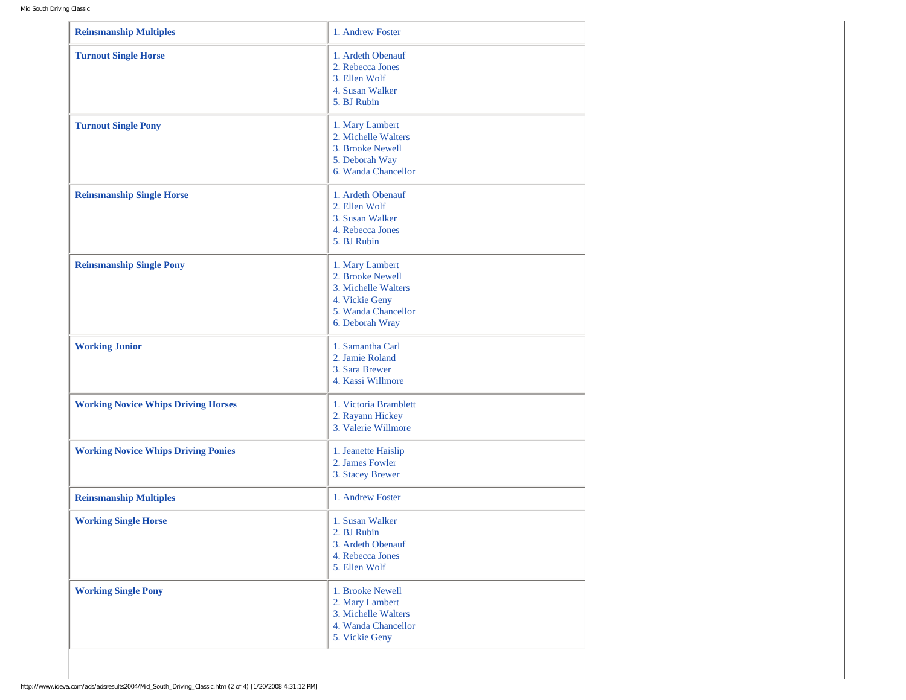| <b>Reinsmanship Multiples</b>              | 1. Andrew Foster                                                                                                       |
|--------------------------------------------|------------------------------------------------------------------------------------------------------------------------|
| <b>Turnout Single Horse</b>                | 1. Ardeth Obenauf<br>2. Rebecca Jones<br>3. Ellen Wolf<br>4. Susan Walker<br>5. BJ Rubin                               |
| <b>Turnout Single Pony</b>                 | 1. Mary Lambert<br>2. Michelle Walters<br>3. Brooke Newell<br>5. Deborah Way<br>6. Wanda Chancellor                    |
| <b>Reinsmanship Single Horse</b>           | 1. Ardeth Obenauf<br>2. Ellen Wolf<br>3. Susan Walker<br>4. Rebecca Jones<br>5. BJ Rubin                               |
| <b>Reinsmanship Single Pony</b>            | 1. Mary Lambert<br>2. Brooke Newell<br>3. Michelle Walters<br>4. Vickie Geny<br>5. Wanda Chancellor<br>6. Deborah Wray |
| <b>Working Junior</b>                      | 1. Samantha Carl<br>2. Jamie Roland<br>3. Sara Brewer<br>4. Kassi Willmore                                             |
| <b>Working Novice Whips Driving Horses</b> | 1. Victoria Bramblett<br>2. Rayann Hickey<br>3. Valerie Willmore                                                       |
| <b>Working Novice Whips Driving Ponies</b> | 1. Jeanette Haislip<br>2. James Fowler<br>3. Stacey Brewer                                                             |
| <b>Reinsmanship Multiples</b>              | 1. Andrew Foster                                                                                                       |
| <b>Working Single Horse</b>                | 1. Susan Walker<br>2. BJ Rubin<br>3. Ardeth Obenauf<br>4. Rebecca Jones<br>5. Ellen Wolf                               |
| <b>Working Single Pony</b>                 | 1. Brooke Newell<br>2. Mary Lambert<br>3. Michelle Walters<br>4. Wanda Chancellor<br>5. Vickie Geny                    |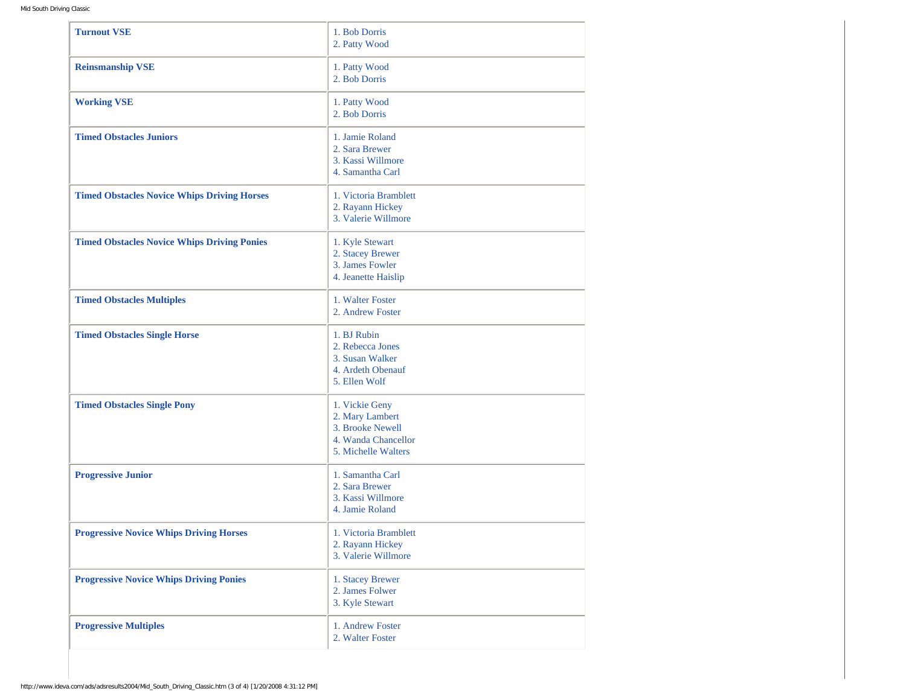| <b>Turnout VSE</b>                                 | 1. Bob Dorris<br>2. Patty Wood                                                                      |
|----------------------------------------------------|-----------------------------------------------------------------------------------------------------|
| <b>Reinsmanship VSE</b>                            | 1. Patty Wood<br>2. Bob Dorris                                                                      |
| <b>Working VSE</b>                                 | 1. Patty Wood<br>2. Bob Dorris                                                                      |
| <b>Timed Obstacles Juniors</b>                     | 1. Jamie Roland<br>2. Sara Brewer<br>3. Kassi Willmore<br>4. Samantha Carl                          |
| <b>Timed Obstacles Novice Whips Driving Horses</b> | 1. Victoria Bramblett<br>2. Rayann Hickey<br>3. Valerie Willmore                                    |
| <b>Timed Obstacles Novice Whips Driving Ponies</b> | 1. Kyle Stewart<br>2. Stacey Brewer<br>3. James Fowler<br>4. Jeanette Haislip                       |
| <b>Timed Obstacles Multiples</b>                   | 1. Walter Foster<br>2. Andrew Foster                                                                |
| <b>Timed Obstacles Single Horse</b>                | 1. BJ Rubin<br>2. Rebecca Jones<br>3. Susan Walker<br>4. Ardeth Obenauf<br>5. Ellen Wolf            |
| <b>Timed Obstacles Single Pony</b>                 | 1. Vickie Geny<br>2. Mary Lambert<br>3. Brooke Newell<br>4. Wanda Chancellor<br>5. Michelle Walters |
| <b>Progressive Junior</b>                          | 1. Samantha Carl<br>2. Sara Brewer<br>3. Kassi Willmore<br>4. Jamie Roland                          |
| <b>Progressive Novice Whips Driving Horses</b>     | 1. Victoria Bramblett<br>2. Rayann Hickey<br>3. Valerie Willmore                                    |
| <b>Progressive Novice Whips Driving Ponies</b>     | 1. Stacey Brewer<br>2. James Folwer<br>3. Kyle Stewart                                              |
| <b>Progressive Multiples</b>                       | 1. Andrew Foster<br>2. Walter Foster                                                                |